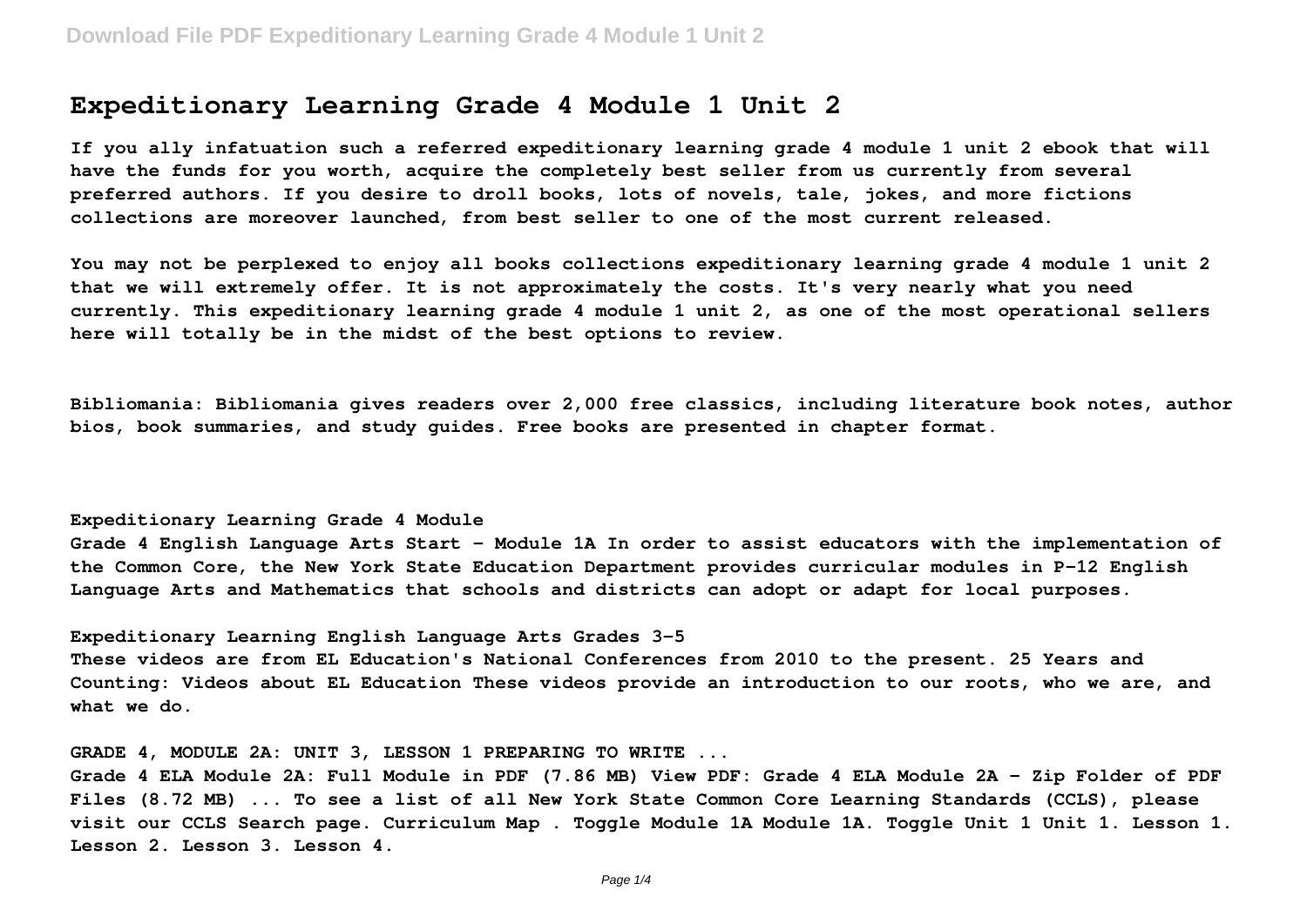# **Expeditionary Learning Grade 4 Module 1 Unit 2**

**If you ally infatuation such a referred expeditionary learning grade 4 module 1 unit 2 ebook that will have the funds for you worth, acquire the completely best seller from us currently from several preferred authors. If you desire to droll books, lots of novels, tale, jokes, and more fictions collections are moreover launched, from best seller to one of the most current released.**

**You may not be perplexed to enjoy all books collections expeditionary learning grade 4 module 1 unit 2 that we will extremely offer. It is not approximately the costs. It's very nearly what you need currently. This expeditionary learning grade 4 module 1 unit 2, as one of the most operational sellers here will totally be in the midst of the best options to review.**

**Bibliomania: Bibliomania gives readers over 2,000 free classics, including literature book notes, author bios, book summaries, and study guides. Free books are presented in chapter format.**

# **Expeditionary Learning Grade 4 Module**

**Grade 4 English Language Arts Start - Module 1A In order to assist educators with the implementation of the Common Core, the New York State Education Department provides curricular modules in P-12 English Language Arts and Mathematics that schools and districts can adopt or adapt for local purposes.**

**Expeditionary Learning English Language Arts Grades 3-5**

**These videos are from EL Education's National Conferences from 2010 to the present. 25 Years and Counting: Videos about EL Education These videos provide an introduction to our roots, who we are, and what we do.**

**GRADE 4, MODULE 2A: UNIT 3, LESSON 1 PREPARING TO WRITE ...**

**Grade 4 ELA Module 2A: Full Module in PDF (7.86 MB) View PDF: Grade 4 ELA Module 2A - Zip Folder of PDF Files (8.72 MB) ... To see a list of all New York State Common Core Learning Standards (CCLS), please visit our CCLS Search page. Curriculum Map . Toggle Module 1A Module 1A. Toggle Unit 1 Unit 1. Lesson 1. Lesson 2. Lesson 3. Lesson 4.**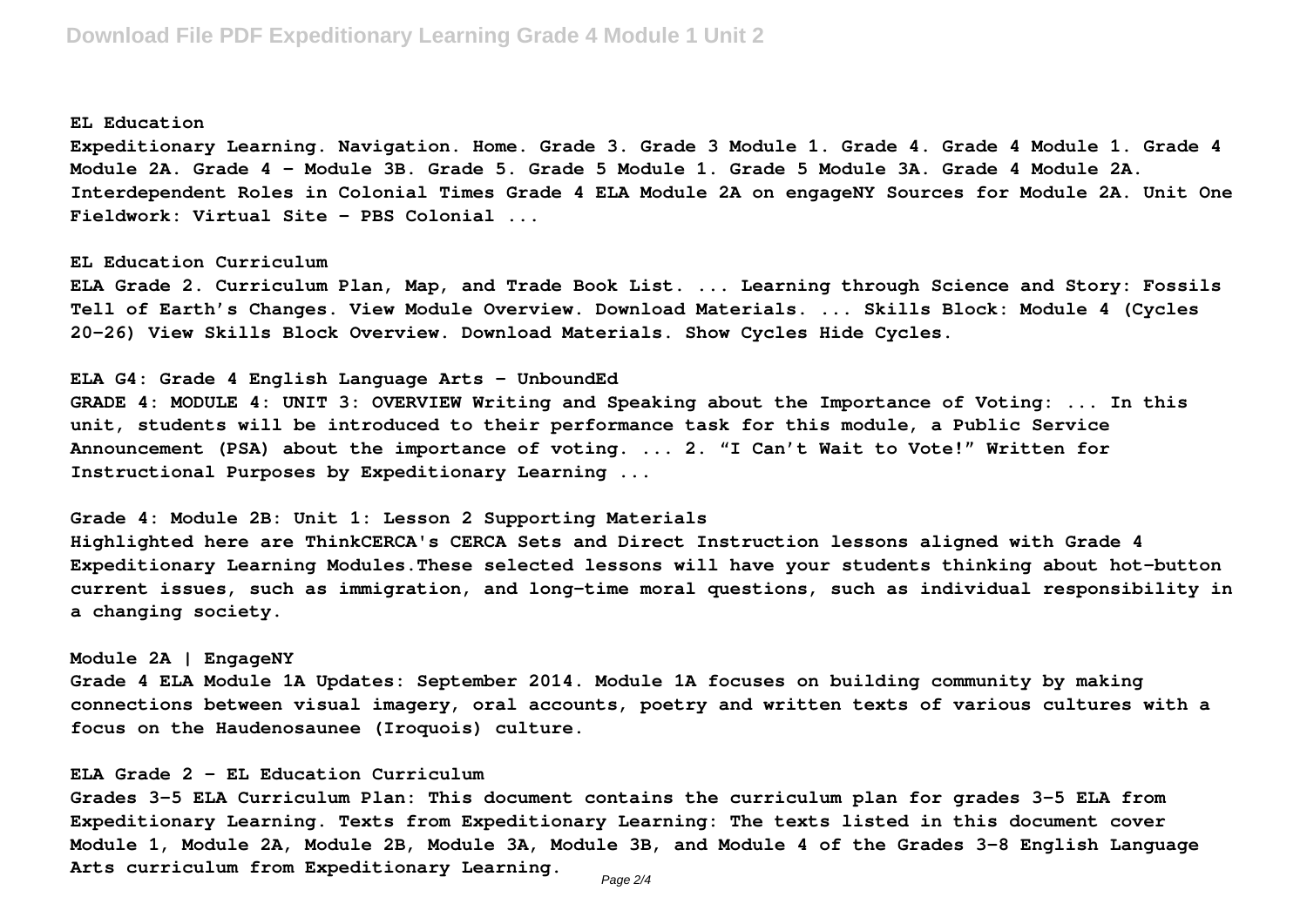### **EL Education**

**Expeditionary Learning. Navigation. Home. Grade 3. Grade 3 Module 1. Grade 4. Grade 4 Module 1. Grade 4 Module 2A. Grade 4 - Module 3B. Grade 5. Grade 5 Module 1. Grade 5 Module 3A. Grade 4 Module 2A. Interdependent Roles in Colonial Times Grade 4 ELA Module 2A on engageNY Sources for Module 2A. Unit One Fieldwork: Virtual Site - PBS Colonial ...**

#### **EL Education Curriculum**

**ELA Grade 2. Curriculum Plan, Map, and Trade Book List. ... Learning through Science and Story: Fossils Tell of Earth's Changes. View Module Overview. Download Materials. ... Skills Block: Module 4 (Cycles 20-26) View Skills Block Overview. Download Materials. Show Cycles Hide Cycles.**

### **ELA G4: Grade 4 English Language Arts - UnboundEd**

**GRADE 4: MODULE 4: UNIT 3: OVERVIEW Writing and Speaking about the Importance of Voting: ... In this unit, students will be introduced to their performance task for this module, a Public Service Announcement (PSA) about the importance of voting. ... 2. "I Can't Wait to Vote!" Written for Instructional Purposes by Expeditionary Learning ...**

#### **Grade 4: Module 2B: Unit 1: Lesson 2 Supporting Materials**

**Highlighted here are ThinkCERCA's CERCA Sets and Direct Instruction lessons aligned with Grade 4 Expeditionary Learning Modules.These selected lessons will have your students thinking about hot-button current issues, such as immigration, and long-time moral questions, such as individual responsibility in a changing society.**

# **Module 2A | EngageNY**

**Grade 4 ELA Module 1A Updates: September 2014. Module 1A focuses on building community by making connections between visual imagery, oral accounts, poetry and written texts of various cultures with a focus on the Haudenosaunee (Iroquois) culture.**

# **ELA Grade 2 - EL Education Curriculum**

**Grades 3-5 ELA Curriculum Plan: This document contains the curriculum plan for grades 3-5 ELA from Expeditionary Learning. Texts from Expeditionary Learning: The texts listed in this document cover Module 1, Module 2A, Module 2B, Module 3A, Module 3B, and Module 4 of the Grades 3-8 English Language Arts curriculum from Expeditionary Learning.**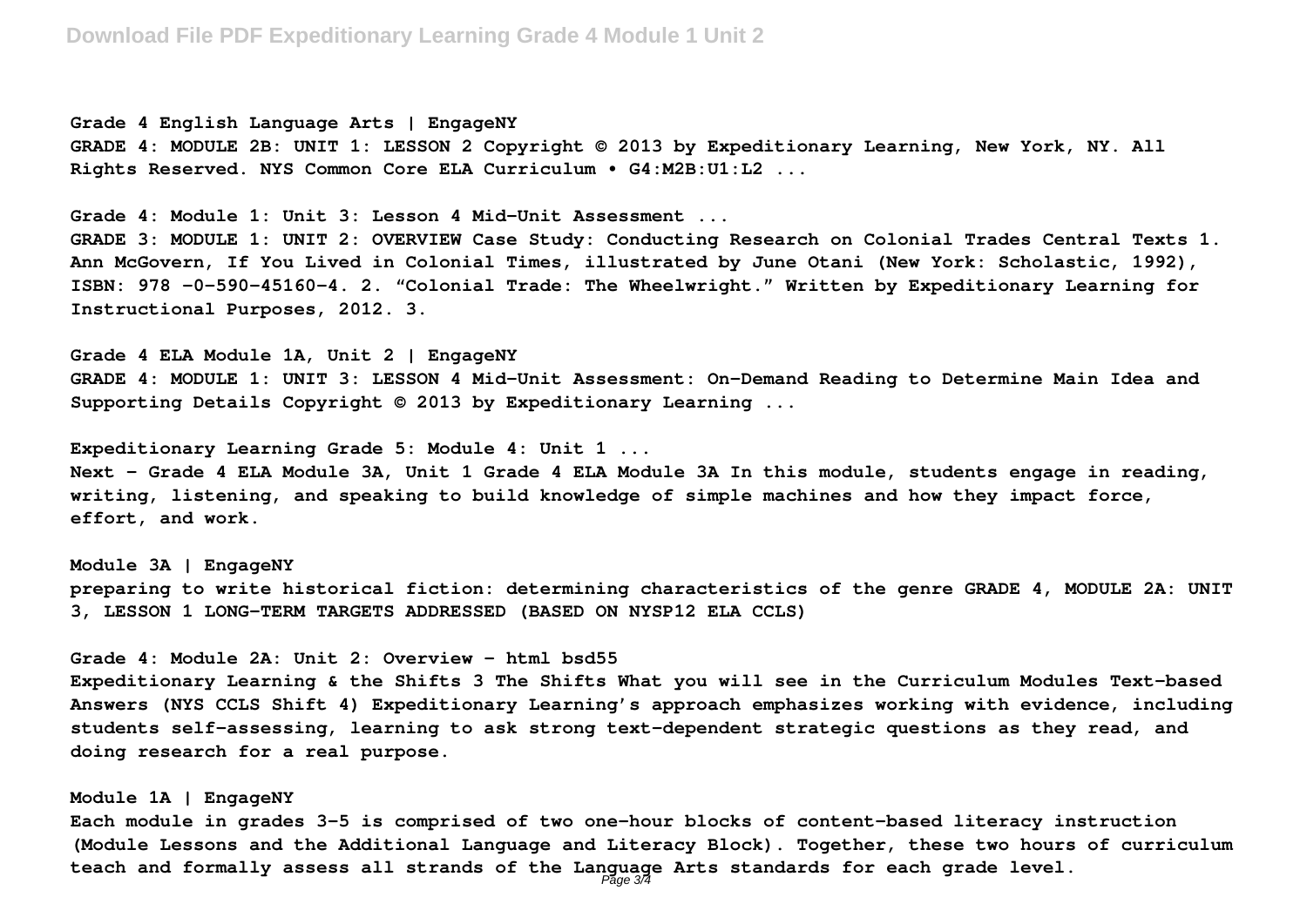**Grade 4 English Language Arts | EngageNY GRADE 4: MODULE 2B: UNIT 1: LESSON 2 Copyright © 2013 by Expeditionary Learning, New York, NY. All Rights Reserved. NYS Common Core ELA Curriculum • G4:M2B:U1:L2 ...**

**Grade 4: Module 1: Unit 3: Lesson 4 Mid-Unit Assessment ...**

**GRADE 3: MODULE 1: UNIT 2: OVERVIEW Case Study: Conducting Research on Colonial Trades Central Texts 1. Ann McGovern, If You Lived in Colonial Times, illustrated by June Otani (New York: Scholastic, 1992), ISBN: 978 -0-590-45160-4. 2. "Colonial Trade: The Wheelwright." Written by Expeditionary Learning for Instructional Purposes, 2012. 3.**

**Grade 4 ELA Module 1A, Unit 2 | EngageNY GRADE 4: MODULE 1: UNIT 3: LESSON 4 Mid-Unit Assessment: On-Demand Reading to Determine Main Idea and Supporting Details Copyright © 2013 by Expeditionary Learning ...**

**Expeditionary Learning Grade 5: Module 4: Unit 1 ... Next - Grade 4 ELA Module 3A, Unit 1 Grade 4 ELA Module 3A In this module, students engage in reading, writing, listening, and speaking to build knowledge of simple machines and how they impact force, effort, and work.**

**Module 3A | EngageNY preparing to write historical fiction: determining characteristics of the genre GRADE 4, MODULE 2A: UNIT 3, LESSON 1 LONG-TERM TARGETS ADDRESSED (BASED ON NYSP12 ELA CCLS)**

**Grade 4: Module 2A: Unit 2: Overview - html bsd55**

**Expeditionary Learning & the Shifts 3 The Shifts What you will see in the Curriculum Modules Text-based Answers (NYS CCLS Shift 4) Expeditionary Learning's approach emphasizes working with evidence, including students self-assessing, learning to ask strong text-dependent strategic questions as they read, and doing research for a real purpose.**

#### **Module 1A | EngageNY**

**Each module in grades 3-5 is comprised of two one-hour blocks of content-based literacy instruction (Module Lessons and the Additional Language and Literacy Block). Together, these two hours of curriculum teach and formally assess all strands of the Language Arts standards for each grade level.** Page 3/4